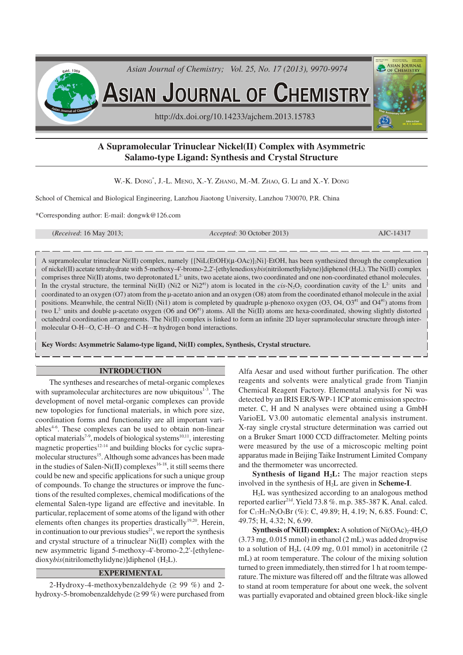

# **A Supramolecular Trinuclear Nickel(II) Complex with Asymmetric Salamo-type Ligand: Synthesis and Crystal Structure**

W.-K. DONG<sup>\*</sup>, J.-L. MENG, X.-Y. ZHANG, M.-M. ZHAO, G. LI and X.-Y. DONG

School of Chemical and Biological Engineering, Lanzhou Jiaotong University, Lanzhou 730070, P.R. China

\*Corresponding author: E-mail: dongwk@126.com

(*Received*: 16 May 2013; *Accepted*: 30 October 2013) AJC-14317

A supramolecular trinuclear Ni(II) complex, namely  $\{[Nil(EtOH)(\mu-OAc)]_2Ni\}$  EtOH, has been synthesized through the complexation of nickel(II) acetate tetrahydrate with 5-methoxy-4'-bromo-2,2'-[ethylenedioxy*bis*(nitrilomethylidyne)]diphenol (H2L). The Ni(II) complex comprises three Ni(II) atoms, two deprotonated L<sup>2</sup> units, two acetate aions, two coordinated and one non-coordinated ethanol molecules. In the crystal structure, the terminal Ni(II) (Ni2 or Ni2<sup>#1</sup>) atom is located in the *cis-N<sub>2</sub>O<sub>2</sub>* coordination cavity of the L<sup>2</sup> units and coordinated to an oxygen (O7) atom from the µ-acetato anion and an oxygen (O8) atom from the coordinated ethanol molecule in the axial positions. Meanwhile, the central Ni(II) (Ni1) atom is completed by quadruple  $\mu$ -phenoxo oxygen (O3, O4, O3<sup>#1</sup> and O4<sup>#1</sup>) atoms from two  $L^2$  units and double µ-acetato oxygen (O6 and O6<sup>#1</sup>) atoms. All the Ni(II) atoms are hexa-coordinated, showing slightly distorted octahedral coordination arrangements. The Ni(II) complex is linked to form an infinite 2D layer supramolecular structure through intermolecular O-H···O, C-H···O and C-H···π hydrogen bond interactions.

**Key Words: Asymmetric Salamo-type ligand, Ni(II) complex, Synthesis, Crystal structure.**

### **INTRODUCTION**

The syntheses and researches of metal-organic complexes with supramolecular architectures are now ubiquitous $1-3$ . The development of novel metal-organic complexes can provide new topologies for functional materials, in which pore size, coordination forms and functionality are all important variables<sup>4-6</sup>. These complexes can be used to obtain non-linear optical materials<sup>7-9</sup>, models of biological systems<sup>10,11</sup>, interesting magnetic properties $12-14$  and building blocks for cyclic supramolecular structures<sup>15</sup>. Although some advances has been made in the studies of Salen-Ni(II) complexes  $16-18$ , it still seems there could be new and specific applications for such a unique group of compounds. To change the structures or improve the functions of the resulted complexes, chemical modifications of the elemental Salen-type ligand are effective and inevitable. In particular, replacement of some atoms of the ligand with other elements often changes its properties drastically<sup>19,20</sup>. Herein, in continuation to our previous studies<sup>21</sup>, we report the synthesis and crystal structure of a trinuclear Ni(II) complex with the new asymmetric ligand 5-methoxy-4'-bromo-2,2'-[ethylenedioxy*bis*(nitrilomethylidyne)]diphenol (H<sub>2</sub>L).

# **EXPERIMENTAL**

2-Hydroxy-4-methoxybenzaldehyde ( $\geq$  99 %) and 2hydroxy-5-bromobenzaldehyde (≥ 99 %) were purchased from

Alfa Aesar and used without further purification. The other reagents and solvents were analytical grade from Tianjin Chemical Reagent Factory. Elemental analysis for Ni was detected by an IRIS ER/S·WP-1 ICP atomic emission spectrometer. C, H and N analyses were obtained using a GmbH VarioEL V3.00 automatic elemental analysis instrument. X-ray single crystal structure determination was carried out on a Bruker Smart 1000 CCD diffractometer. Melting points were measured by the use of a microscopic melting point apparatus made in Beijing Taike Instrument Limited Company and the thermometer was uncorrected.

**Synthesis of ligand H2L:** The major reaction steps involved in the synthesis of H2L are given in **Scheme-I**.

H2L was synthesized according to an analogous method reported earlier<sup>21d</sup>. Yield 73.8 %. m.p. 385-387 K. Anal. calcd. for C17H17N2O5Br (%): C, 49.89; H, 4.19; N, 6.85. Found: C, 49.75; H, 4.32; N, 6.99.

**Synthesis of Ni(II) complex:** A solution of Ni(OAc)<sub>2</sub>·4H<sub>2</sub>O (3.73 mg, 0.015 mmol) in ethanol (2 mL) was added dropwise to a solution of H2L (4.09 mg, 0.01 mmol) in acetonitrile (2 mL) at room temperature. The colour of the mixing solution turned to green immediately, then stirred for 1 h at room temperature. The mixture was filtered off and the filtrate was allowed to stand at room temperature for about one week, the solvent was partially evaporated and obtained green block-like single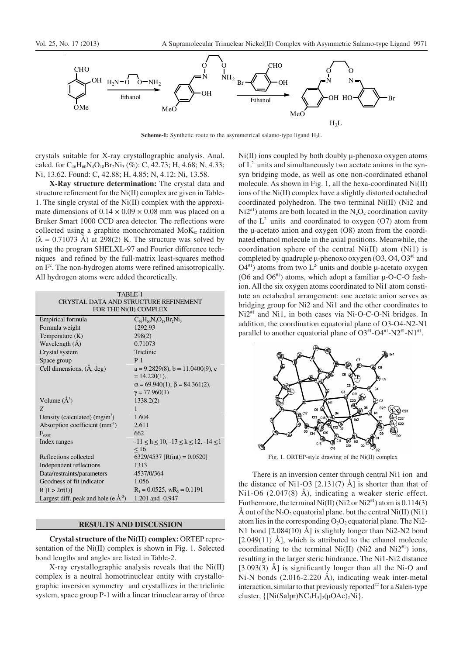

**Scheme-I:** Synthetic route to the asymmetrical salamo-type ligand H<sub>2</sub>L

crystals suitable for X-ray crystallographic analysis. Anal. calcd. for C<sub>46</sub>H<sub>60</sub>N<sub>4</sub>O<sub>18</sub>Br<sub>2</sub>Ni<sub>3</sub> (%): C, 42.73; H, 4.68; N, 4.33; Ni, 13.62. Found: C, 42.88; H, 4.85; N, 4.12; Ni, 13.58.

**X-Ray structure determination:** The crystal data and structure refinement for the Ni(II) complex are given in Table-1. The single crystal of the Ni(II) complex with the approximate dimensions of  $0.14 \times 0.09 \times 0.08$  mm was placed on a Bruker Smart 1000 CCD area detector. The reflections were collected using a graphite monochromated  $M \circ K_{\alpha}$  radition  $(\lambda = 0.71073 \text{ Å})$  at 298(2) K. The structure was solved by using the program SHELXL-97 and Fourier difference techniques and refined by the full-matrix least-squares method on  $F<sup>2</sup>$ . The non-hydrogen atoms were refined anisotropically. All hydrogen atoms were added theoretically.

| TABLE-1<br>CRYSTAL DATA AND STRUCTURE REFINEMENT<br>FOR THE Ni(II) COMPLEX |                                            |  |  |  |  |
|----------------------------------------------------------------------------|--------------------------------------------|--|--|--|--|
| Empirical formula                                                          | $C_{46}H_{60}N_4O_{18}Br_2Ni_3$            |  |  |  |  |
| Formula weight                                                             | 1292.93                                    |  |  |  |  |
| Temperature $(K)$                                                          | 298(2)                                     |  |  |  |  |
| Wavelength (Å)                                                             | 0.71073                                    |  |  |  |  |
| Crystal system                                                             | Triclinic                                  |  |  |  |  |
| Space group                                                                | $P-1$                                      |  |  |  |  |
| Cell dimensions, (A, deg)                                                  | $a = 9.2829(8)$ , $b = 11.0400(9)$ , c     |  |  |  |  |
|                                                                            | $= 14.220(1),$                             |  |  |  |  |
|                                                                            | $\alpha$ = 69.940(1), $\beta$ = 84.361(2), |  |  |  |  |
|                                                                            | $\gamma = 77.960(1)$                       |  |  |  |  |
| Volume $(A^3)$                                                             | 1338.2(2)                                  |  |  |  |  |
| Z                                                                          | 1                                          |  |  |  |  |
| Density (calculated) $(mg/m3)$                                             | 1.604                                      |  |  |  |  |
| Absorption coefficient $(mm^{-1})$                                         | 2.611                                      |  |  |  |  |
| $F_{(000)}$                                                                | 662                                        |  |  |  |  |
| Index ranges                                                               | $-11 < h < 10, -13 < k < 12, -14 < l$      |  |  |  |  |
|                                                                            | < 16                                       |  |  |  |  |
| Reflections collected                                                      | 6329/4537 [R(int) = $0.0520$ ]             |  |  |  |  |
| Independent reflections                                                    | 1313                                       |  |  |  |  |
| Data/restraints/parameters                                                 | 4537/0/364                                 |  |  |  |  |
| Goodness of fit indicator                                                  | 1.056                                      |  |  |  |  |
| $R[I > 2\sigma(I)]$                                                        | $R_1 = 0.0525$ , wR <sub>2</sub> = 0.1191  |  |  |  |  |
| Largest diff. peak and hole (e $\AA$ <sup>-3</sup> )                       | 1.201 and -0.947                           |  |  |  |  |

#### **RESULTS AND DISCUSSION**

**Crystal structure of the Ni(II) complex:** ORTEP representation of the Ni(II) complex is shown in Fig. 1. Selected bond lengths and angles are listed in Table-2.

X-ray crystallographic analysis reveals that the Ni(II) complex is a neutral homotrinuclear entity with crystallographic inversion symmetry and crystallizes in the triclinic system, space group P-1 with a linear trinuclear array of three

Ni(II) ions coupled by both doubly  $\mu$ -phenoxo oxygen atoms of  $L<sup>2</sup>$  units and simultaneously two acetate anions in the synsyn bridging mode, as well as one non-coordinated ethanol molecule. As shown in Fig. 1, all the hexa-coordinated Ni(II) ions of the Ni(II) complex have a slightly distorted octahedral coordinated polyhedron. The two terminal Ni(II) (Ni2 and  $Ni2<sup>#1</sup>$ ) atoms are both located in the N<sub>2</sub>O<sub>2</sub> coordination cavity of the  $L^2$  units and coordinated to oxygen (O7) atom from the µ-acetato anion and oxygen (O8) atom from the coordinated ethanol molecule in the axial positions. Meanwhile, the coordination sphere of the central Ni(II) atom (Ni1) is completed by quadruple  $\mu$ -phenoxo oxygen (O3, O4, O3<sup>#1</sup> and  $O4^{4}$ ) atoms from two L<sup>2-</sup> units and double µ-acetato oxygen (O6 and  $O6^{41}$ ) atoms, which adopt a familiar  $\mu$ -O-C-O fashion. All the six oxygen atoms coordinated to Ni1 atom constitute an octahedral arrangement: one acetate anion serves as bridging group for Ni2 and Ni1 and the other coordinates to Ni2<sup>#1</sup> and Ni1, in both cases via Ni-O-C-O-Ni bridges. In addition, the coordination equatorial plane of O3-O4-N2-N1 parallel to another equatorial plane of  $O3^{*1}$ - $O4^{*1}$ - $N2^{*1}$ - $N1^{*1}$ .



Fig. 1. ORTEP-style drawing of the Ni(II) complex

There is an inversion center through central Ni1 ion and the distance of Ni1-O3  $[2.131(7)$  Å] is shorter than that of Ni1-O6 (2.047(8) Å), indicating a weaker steric effect. Furthermore, the terminal Ni(II) (Ni2 or Ni2<sup>#1</sup>) atom is  $0.114(3)$ Å out of the  $N_2O_2$  equatorial plane, but the central  $Ni(II) (Ni1)$ atom lies in the corresponding  $O_2O_2$  equatorial plane. The Ni2-N1 bond [2.084(10) Å] is slightly longer than Ni2-N2 bond  $[2.049(11)$  Å], which is attributed to the ethanol molecule coordinating to the terminal Ni(II) (Ni2 and Ni2<sup>#1</sup>) ions, resulting in the larger steric hindrance. The Ni1-Ni2 distance [3.093(3) Å] is significantly longer than all the Ni-O and Ni-N bonds (2.016-2.220 Å), indicating weak inter-metal interaction, similar to that previously reported<sup>22</sup> for a Salen-type cluster,  $\{[Ni(Salpr)NC<sub>5</sub>H<sub>5</sub>]<sub>2</sub>(\mu OAc)<sub>2</sub>Ni\}.$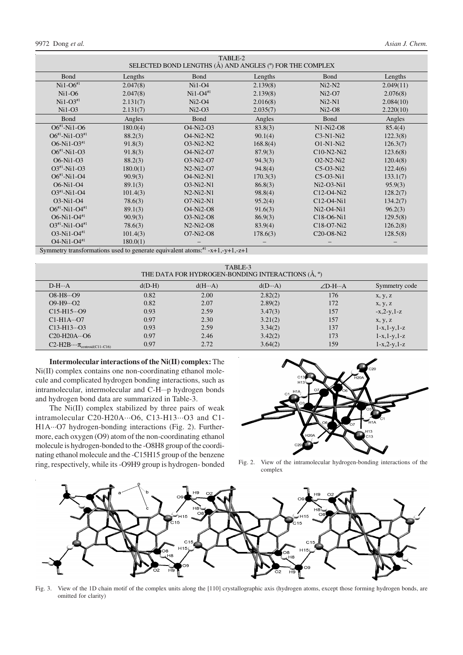| TABLE-2<br>SELECTED BOND LENGTHS (Å) AND ANGLES (°) FOR THE COMPLEX                          |          |                                                 |          |                                                              |           |  |  |  |
|----------------------------------------------------------------------------------------------|----------|-------------------------------------------------|----------|--------------------------------------------------------------|-----------|--|--|--|
| Bond                                                                                         | Lengths  | <b>Bond</b>                                     | Lengths  | Bond                                                         | Lengths   |  |  |  |
| $Ni1-O6#1$                                                                                   | 2.047(8) | $Ni1-O4$                                        | 2.139(8) | $Ni2-N2$                                                     | 2.049(11) |  |  |  |
| $Ni1-06$                                                                                     | 2.047(8) | $Ni1-O4#1$                                      | 2.139(8) | $Ni2-O7$                                                     | 2.076(8)  |  |  |  |
| $Ni1-O3#1$                                                                                   | 2.131(7) | $Ni2-O4$                                        | 2.016(8) | $Ni2-N1$                                                     | 2.084(10) |  |  |  |
| $Ni1-O3$                                                                                     | 2.131(7) | $Ni2-O3$                                        | 2.035(7) | $Ni2-O8$                                                     | 2.220(10) |  |  |  |
| Bond                                                                                         | Angles   | Bond                                            | Angles   | Bond                                                         | Angles    |  |  |  |
| $O6^{*1}$ -Ni1-O6                                                                            | 180.0(4) | O <sub>4</sub> -N <sub>i</sub> 2-O <sub>3</sub> | 83.8(3)  | $N1-Ni2-08$                                                  | 85.4(4)   |  |  |  |
| $O6^{*1}$ -Ni1-O3 <sup>*1</sup>                                                              | 88.2(3)  | O <sub>4</sub> -N <sub>i</sub> 2-N <sub>2</sub> | 90.1(4)  | $C3-N1-Ni2$                                                  | 122.3(8)  |  |  |  |
| $O6-Ni1-O3^{*1}$                                                                             | 91.8(3)  | $O3-Ni2-N2$                                     | 168.8(4) | $O1-N1-Ni2$                                                  | 126.3(7)  |  |  |  |
| $O6^{*1}$ -Ni1-O3                                                                            | 91.8(3)  | O <sub>4</sub> -N <sub>i</sub> 2-O <sub>7</sub> | 87.9(3)  | $C10-N2-Ni2$                                                 | 123.6(8)  |  |  |  |
| O6-Ni1-O3                                                                                    | 88.2(3)  | O3-Ni2-O7                                       | 94.3(3)  | $O2-N2-Ni2$                                                  | 120.4(8)  |  |  |  |
| $O3^{*1}$ -Ni1-O3                                                                            | 180.0(1) | $N2-Ni2-O7$                                     | 94.8(4)  | $C5-O3-Ni2$                                                  | 122.4(6)  |  |  |  |
| $O6^{*1}$ -Ni1-O4                                                                            | 90.9(3)  | <b>O4-Ni2-N1</b>                                | 170.3(3) | C5-O3-Ni1                                                    | 133.1(7)  |  |  |  |
| O6-Ni1-O4                                                                                    | 89.1(3)  | $O3-Ni2-N1$                                     | 86.8(3)  | $Ni2-O3-Ni1$                                                 | 95.9(3)   |  |  |  |
| $O3^{*1}$ -Ni1-O4                                                                            | 101.4(3) | $N2-Ni2-N1$                                     | 98.8(4)  | C12-O4-Ni2                                                   | 128.2(7)  |  |  |  |
| $O3-Ni1-O4$                                                                                  | 78.6(3)  | $O7-Ni2-N1$                                     | 95.2(4)  | C12-O4-Ni1                                                   | 134.2(7)  |  |  |  |
| $O6^{*1}$ -Ni1-O4 <sup>*1</sup>                                                              | 89.1(3)  | O <sub>4</sub> -N <sub>i</sub> 2-O <sub>8</sub> | 91.6(3)  | Ni2-O4-Ni1                                                   | 96.2(3)   |  |  |  |
| $O6-Ni1-O4^{*1}$                                                                             | 90.9(3)  | O3-Ni2-O8                                       | 86.9(3)  | C <sub>18</sub> -O <sub>6</sub> -N <sub>i</sub> <sub>1</sub> | 129.5(8)  |  |  |  |
| $O3^{*1}$ -Ni1-O4 <sup>*1</sup>                                                              | 78.6(3)  | $N2-Ni2-O8$                                     | 83.9(4)  | C <sub>18</sub> -O <sub>7</sub> -N <sub>i</sub> 2            | 126.2(8)  |  |  |  |
| $O3-Ni1-O4^{*1}$                                                                             | 101.4(3) | $O7-Ni2-O8$                                     | 178.6(3) | C <sub>20</sub> -O <sub>8</sub> -N <sub>i</sub> <sub>2</sub> | 128.5(8)  |  |  |  |
| $O4-Ni1-O4^{*1}$                                                                             | 180.0(1) |                                                 |          |                                                              |           |  |  |  |
| Symmetry transformations used to generate equivalent atoms: $*$ <sup>#1</sup> -x+1,-y+1,-z+1 |          |                                                 |          |                                                              |           |  |  |  |

| TABLE-3<br>THE DATA FOR HYDROGEN-BONDING INTERACTIONS (Å, °) |          |                 |                 |                 |                 |  |  |  |
|--------------------------------------------------------------|----------|-----------------|-----------------|-----------------|-----------------|--|--|--|
| $D-H \cdots A$                                               | $d(D-H)$ | $d(H \cdots A)$ | $d(D \cdots A)$ | $\angle D$ -H…A | Symmetry code   |  |  |  |
| $O8-H8\cdots O9$                                             | 0.82     | 2.00            | 2.82(2)         | 176             | x, y, z         |  |  |  |
| $O9-H9O2$                                                    | 0.82     | 2.07            | 2.89(2)         | 172             | x, y, z         |  |  |  |
| $C15-H15O9$                                                  | 0.93     | 2.59            | 3.47(3)         | 157             | $-x, 2-y, 1-z$  |  |  |  |
| $C1-H1A \cdots O7$                                           | 0.97     | 2.30            | 3.21(2)         | 157             | x, y, z         |  |  |  |
| $C13-H13\cdots O3$                                           | 0.93     | 2.59            | 3.34(2)         | 137             | $1-x, 1-y, 1-z$ |  |  |  |
| $C20-H20A\cdots$ O6                                          | 0.97     | 2.46            | 3.42(2)         | 173             | $1-x, 1-y, 1-z$ |  |  |  |
| $C2-H2B\cdots\pi_{\text{centroid}(C11-C16)}$                 | 0.97     | 2.72            | 3.64(2)         | 159             | $1-x, 2-y, 1-z$ |  |  |  |

**Intermolecular interactions of the Ni(II) complex:** The Ni(II) complex contains one non-coordinating ethanol molecule and complicated hydrogen bonding interactions, such as intramolecular, intermolecular and C-H···p hydrogen bonds and hydrogen bond data are summarized in Table-3.

The Ni(II) complex stabilized by three pairs of weak intramolecular C20-H20A···O6, C13-H13···O3 and C1- H1A···O7 hydrogen-bonding interactions (Fig. 2). Furthermore, each oxygen (O9) atom of the non-coordinating ethanol molecule is hydrogen-bonded to the -O8H8 group of the coordinating ethanol molecule and the -C15H15 group of the benzene ring, respectively, while its -O9H9 group is hydrogen- bonded



Fig. 2. View of the intramolecular hydrogen-bonding interactions of the complex



Fig. 3. View of the 1D chain motif of the complex units along the [110] crystallographic axis (hydrogen atoms, except those forming hydrogen bonds, are omitted for clarity)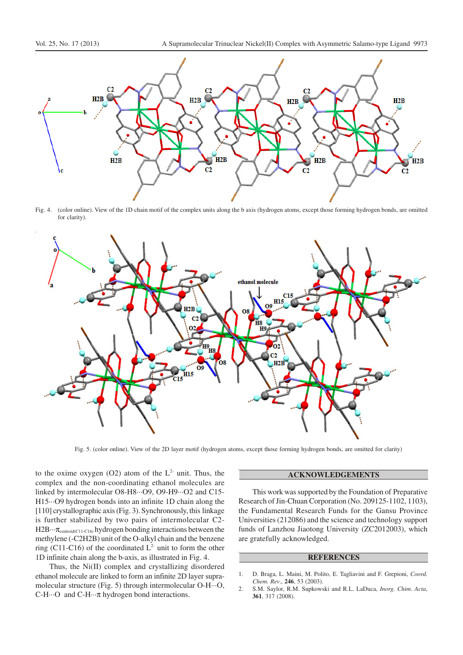

Fig. 4. (color online). View of the 1D chain motif of the complex units along the b axis (hydrogen atoms, except those forming hydrogen bonds, are omitted for clarity).



Fig. 5. (color online). View of the 2D layer motif (hydrogen atoms, except those forming hydrogen bonds, are omitted for clarity)

to the oxime oxygen (O2) atom of the  $L^2$  unit. Thus, the complex and the non-coordinating ethanol molecules are linked by intermolecular O8-H8···O9, O9-H9···O2 and C15- H15···O9 hydrogen bonds into an infinite 1D chain along the [110] crystallographic axis (Fig. 3). Synchronously, this linkage is further stabilized by two pairs of intermolecular C2- H2B···π<sub>centroid(C11-C16</sub>) hydrogen bonding interactions between the methylene (-C2H2B) unit of the O-alkyl chain and the benzene ring (C11-C16) of the coordinated  $L^2$  unit to form the other 1D infinite chain along the b-axis, as illustrated in Fig. 4.

Thus, the Ni(II) complex and crystallizing disordered ethanol molecule are linked to form an infinite 2D layer supramolecular structure (Fig. 5) through intermolecular O-H···O, C-H···O and C-H···π hydrogen bond interactions.

## **ACKNOWLEDGEMENTS**

This work was supported by the Foundation of Preparative Research of Jin-Chuan Corporation (No. 209125-1102, 1103), the Fundamental Research Funds for the Gansu Province Universities (212086) and the science and technology support funds of Lanzhou Jiaotong University (ZC2012003), which are gratefully acknowledged.

## **REFERENCES**

- 1. D. Braga, L. Maini, M. Polito, E. Tagliavini and F. Grepioni, *Coord. Chem. Rev*., **246**, 53 (2003).
- 2. S.M. Saylor, R.M. Supkowski and R.L. LaDuca, *Inorg. Chim. Acta*, **361**, 317 (2008).